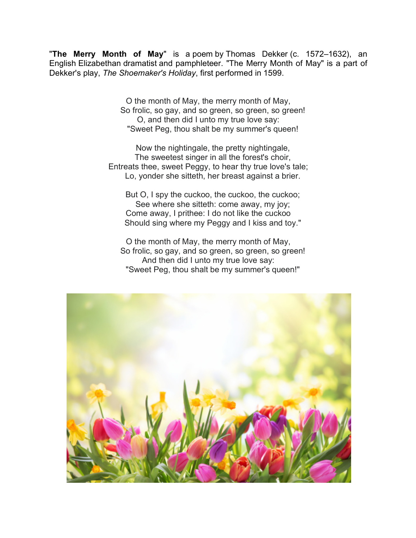"**The Merry Month of May**" is a poem by Thomas Dekker (c. 1572–1632), an English Elizabethan dramatist and pamphleteer. "The Merry Month of May" is a part of Dekker's play, *The Shoemaker's Holiday*, first performed in 1599.

> O the month of May, the merry month of May, So frolic, so gay, and so green, so green, so green! O, and then did I unto my true love say: "Sweet Peg, thou shalt be my summer's queen!

 Now the nightingale, the pretty nightingale, The sweetest singer in all the forest's choir, Entreats thee, sweet Peggy, to hear thy true love's tale; Lo, yonder she sitteth, her breast against a brier.

 But O, I spy the cuckoo, the cuckoo, the cuckoo; See where she sitteth: come away, my joy; Come away, I prithee: I do not like the cuckoo Should sing where my Peggy and I kiss and toy."

O the month of May, the merry month of May, So frolic, so gay, and so green, so green, so green! And then did I unto my true love say: "Sweet Peg, thou shalt be my summer's queen!"